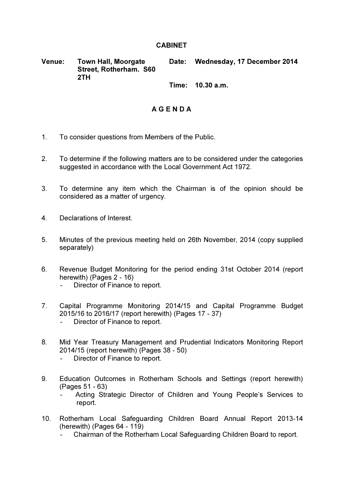## **CABINET**

Venue: Town Hall, Moorgate Street, Rotherham. S60 2TH Date: Wednesday, 17 December 2014

Time: 10.30 a.m.

## A G E N D A

- 1. To consider questions from Members of the Public.
- 2. To determine if the following matters are to be considered under the categories suggested in accordance with the Local Government Act 1972.
- 3. To determine any item which the Chairman is of the opinion should be considered as a matter of urgency.
- 4. Declarations of Interest.
- 5. Minutes of the previous meeting held on 26th November, 2014 (copy supplied separately)
- 6. Revenue Budget Monitoring for the period ending 31st October 2014 (report herewith) (Pages 2 - 16)
	- Director of Finance to report.
- 7. Capital Programme Monitoring 2014/15 and Capital Programme Budget 2015/16 to 2016/17 (report herewith) (Pages 17 - 37) - Director of Finance to report.
- 8. Mid Year Treasury Management and Prudential Indicators Monitoring Report 2014/15 (report herewith) (Pages 38 - 50)
	- Director of Finance to report.
- 9. Education Outcomes in Rotherham Schools and Settings (report herewith) (Pages 51 - 63)
	- Acting Strategic Director of Children and Young People's Services to report.
- 10. Rotherham Local Safeguarding Children Board Annual Report 2013-14 (herewith) (Pages 64 - 119)
	- Chairman of the Rotherham Local Safeguarding Children Board to report.